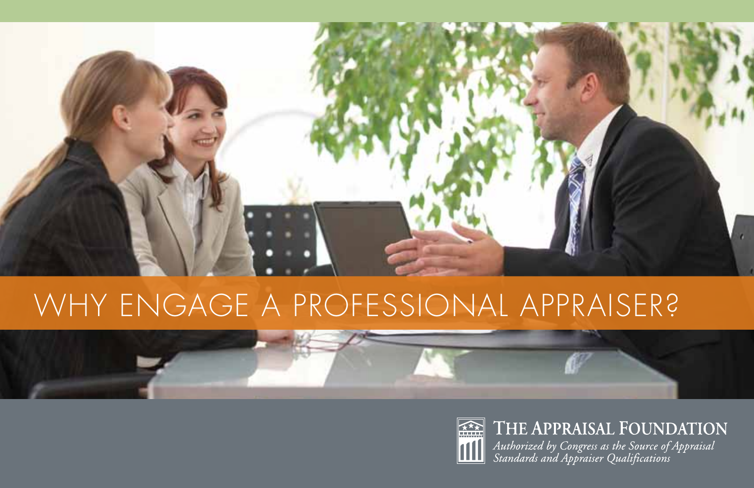

# Why Engage a Professional Appraiser?





### THE APPRAISAL FOUNDATION

Authorized by Congress as the Source of Appraisal<br>Standards and Appraiser Qualifications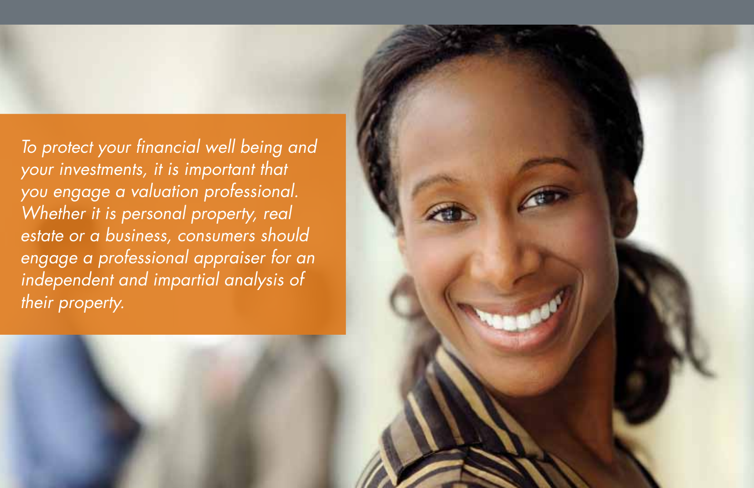*To protect your financial well being and your investments, it is important that you engage a valuation professional. Whether it is personal property, real estate or a business, consumers should engage a professional appraiser for an independent and impartial analysis of their property.*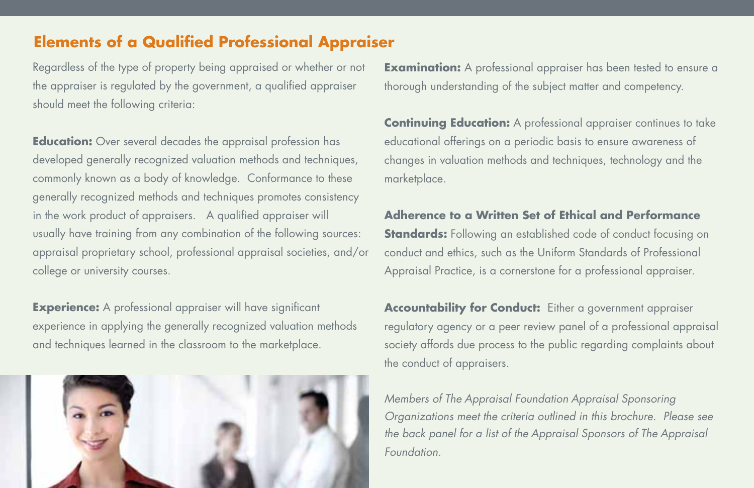#### **Elements of a Qualified Professional Appraiser**

Regardless of the type of property being appraised or whether or not the appraiser is regulated by the government, a qualified appraiser should meet the following criteria:

**Education:** Over several decades the appraisal profession has developed generally recognized valuation methods and techniques, commonly known as a body of knowledge. Conformance to these generally recognized methods and techniques promotes consistency in the work product of appraisers. A qualified appraiser will usually have training from any combination of the following sources: appraisal proprietary school, professional appraisal societies, and/or college or university courses.

**Experience:** A professional appraiser will have significant experience in applying the generally recognized valuation methods and techniques learned in the classroom to the marketplace.



**Examination:** A professional appraiser has been tested to ensure a thorough understanding of the subject matter and competency.

**Continuing Education:** A professional appraiser continues to take educational offerings on a periodic basis to ensure awareness of changes in valuation methods and techniques, technology and the marketplace.

#### **Adherence to a Written Set of Ethical and Performance**

**Standards:** Following an established code of conduct focusing on conduct and ethics, such as the Uniform Standards of Professional Appraisal Practice, is a cornerstone for a professional appraiser.

**Accountability for Conduct:** Either a government appraiser regulatory agency or a peer review panel of a professional appraisal society affords due process to the public regarding complaints about the conduct of appraisers.

*Members of The Appraisal Foundation Appraisal Sponsoring Organizations meet the criteria outlined in this brochure. Please see the back panel for a list of the Appraisal Sponsors of The Appraisal Foundation.*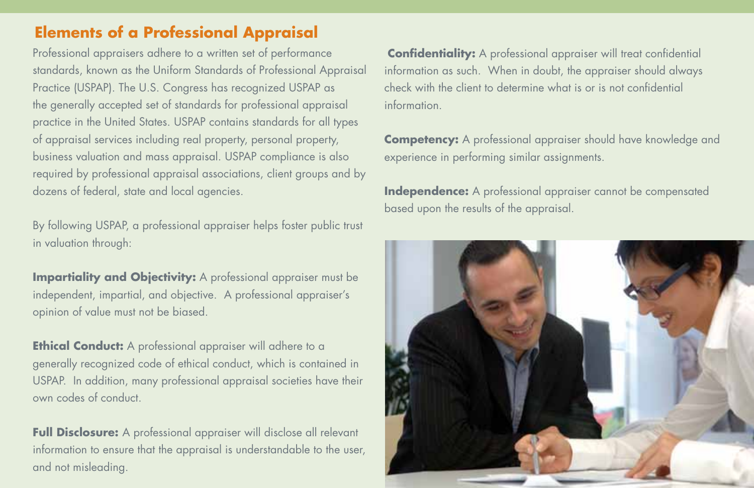#### **Elements of a Professional Appraisal**

Professional appraisers adhere to a written set of performance standards, known as the Uniform Standards of Professional Appraisal Practice (USPAP). The U.S. Congress has recognized USPAP as the generally accepted set of standards for professional appraisal practice in the United States. USPAP contains standards for all types of appraisal services including real property, personal property, business valuation and mass appraisal. USPAP compliance is also required by professional appraisal associations, client groups and by dozens of federal, state and local agencies.

By following USPAP, a professional appraiser helps foster public trust in valuation through:

**Impartiality and Objectivity:** A professional appraiser must be independent, impartial, and objective. A professional appraiser's opinion of value must not be biased.

**Ethical Conduct:** A professional appraiser will adhere to a generally recognized code of ethical conduct, which is contained in USPAP. In addition, many professional appraisal societies have their own codes of conduct.

**Full Disclosure:** A professional appraiser will disclose all relevant information to ensure that the appraisal is understandable to the user, and not misleading.

**Confidentiality:** A professional appraiser will treat confidential information as such. When in doubt, the appraiser should always check with the client to determine what is or is not confidential information.

**Competency:** A professional appraiser should have knowledge and experience in performing similar assignments.

**Independence:** A professional appraiser cannot be compensated based upon the results of the appraisal.

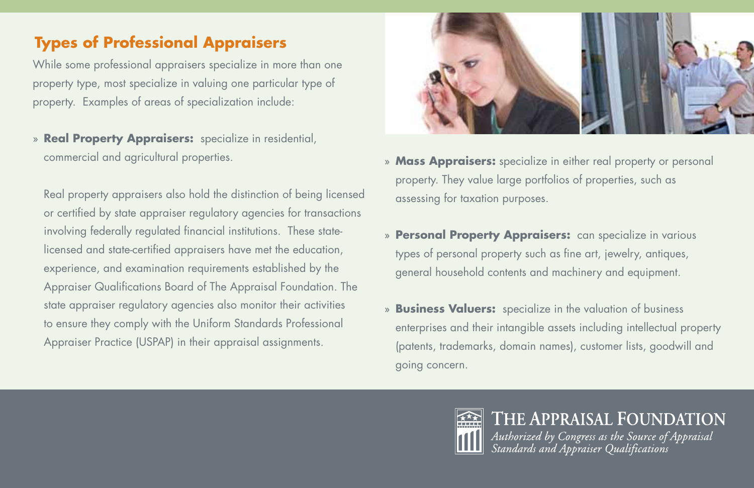## **Types of Professional Appraisers**

While some professional appraisers specialize in more than one property type, most specialize in valuing one particular type of property. Examples of areas of specialization include:

» **Real Property Appraisers:** specialize in residential, commercial and agricultural properties.

Real property appraisers also hold the distinction of being licensed or certified by state appraiser regulatory agencies for transactions involving federally regulated financial institutions. These statelicensed and state-certified appraisers have met the education, experience, and examination requirements established by the Appraiser Qualifications Board of The Appraisal Foundation. The state appraiser regulatory agencies also monitor their activities to ensure they comply with the Uniform Standards Professional Appraiser Practice (USPAP) in their appraisal assignments.



- » **Mass Appraisers:** specialize in either real property or personal property. They value large portfolios of properties, such as assessing for taxation purposes.
- » **Personal Property Appraisers:** can specialize in various types of personal property such as fine art, jewelry, antiques, general household contents and machinery and equipment.
- » **Business Valuers:** specialize in the valuation of business enterprises and their intangible assets including intellectual property (patents, trademarks, domain names), customer lists, goodwill and going concern.



# THE APPRAISAL FOUNDATION Authorized by Congress as the Source of Appraisal<br>Standards and Appraiser Qualifications